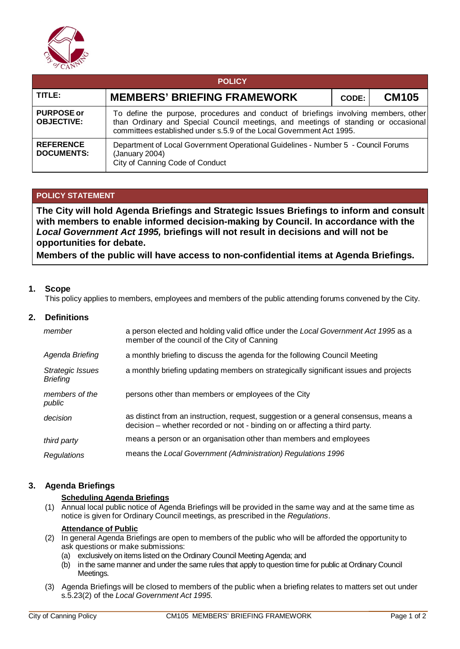

| <b>POLICY</b>                          |                                                                                                                                                                                                                                                   |       |              |  |  |
|----------------------------------------|---------------------------------------------------------------------------------------------------------------------------------------------------------------------------------------------------------------------------------------------------|-------|--------------|--|--|
| TITLE:                                 | <b>MEMBERS' BRIEFING FRAMEWORK</b>                                                                                                                                                                                                                | CODE: | <b>CM105</b> |  |  |
| <b>PURPOSE or</b><br><b>OBJECTIVE:</b> | To define the purpose, procedures and conduct of briefings involving members, other<br>than Ordinary and Special Council meetings, and meetings of standing or occasional<br>committees established under s.5.9 of the Local Government Act 1995. |       |              |  |  |
| <b>REFERENCE</b><br><b>DOCUMENTS:</b>  | Department of Local Government Operational Guidelines - Number 5 - Council Forums<br>(January 2004)<br>City of Canning Code of Conduct                                                                                                            |       |              |  |  |

# **POLICY STATEMENT**

**The City will hold Agenda Briefings and Strategic Issues Briefings to inform and consult with members to enable informed decision-making by Council. In accordance with the**  *Local Government Act 1995,* **briefings will not result in decisions and will not be opportunities for debate.**

**Members of the public will have access to non-confidential items at Agenda Briefings.**

### **1. Scope**

This policy applies to members, employees and members of the public attending forums convened by the City.

## **2. Definitions**

| member                              | a person elected and holding valid office under the Local Government Act 1995 as a<br>member of the council of the City of Canning                                  |
|-------------------------------------|---------------------------------------------------------------------------------------------------------------------------------------------------------------------|
| Agenda Briefing                     | a monthly briefing to discuss the agenda for the following Council Meeting                                                                                          |
| Strategic Issues<br><b>Briefing</b> | a monthly briefing updating members on strategically significant issues and projects                                                                                |
| members of the<br>public            | persons other than members or employees of the City                                                                                                                 |
| decision                            | as distinct from an instruction, request, suggestion or a general consensus, means a<br>decision – whether recorded or not - binding on or affecting a third party. |
| third party                         | means a person or an organisation other than members and employees                                                                                                  |
| Regulations                         | means the Local Government (Administration) Regulations 1996                                                                                                        |

# **3. Agenda Briefings**

## **Scheduling Agenda Briefings**

(1) Annual local public notice of Agenda Briefings will be provided in the same way and at the same time as notice is given for Ordinary Council meetings, as prescribed in the *Regulations*.

# **Attendance of Public**

- (2) In general Agenda Briefings are open to members of the public who will be afforded the opportunity to ask questions or make submissions:
	- (a) exclusively on items listed on the Ordinary Council Meeting Agenda; and
	- (b) in the same manner and under the same rules that apply to question time for public at Ordinary Council Meetings.
- (3) Agenda Briefings will be closed to members of the public when a briefing relates to matters set out under s.5.23(2) of the *Local Government Act 1995.*